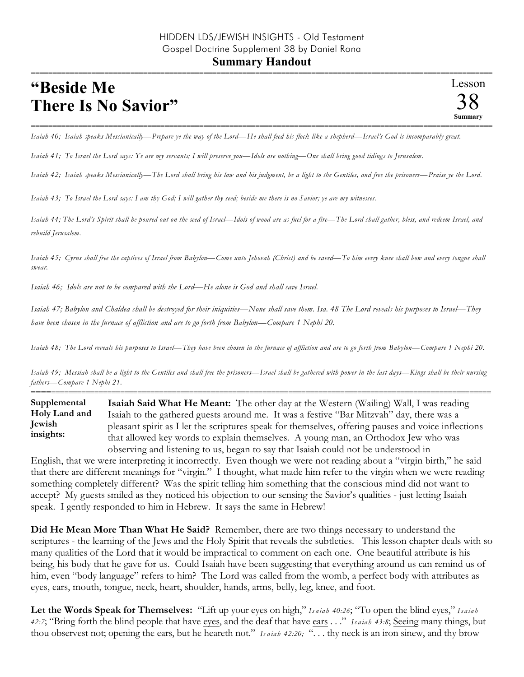## =========================================================================================================== **"Beside Me There Is No Savior"**

=========================================================================================================== *Isaiah 40; Isaiah speaks Messianically—Prepare ye the way of the Lord—He shall feed his flock like a shepherd—Israel's God is incomparably great.* 

*Isaiah 41; To Israel the Lord says: Ye are my servants; I will preserve you—Idols are nothing—One shall bring good tidings to Jerusalem.* 

*Isaiah 42; Isaiah speaks Messianically—The Lord shall bring his law and his judgment, be a light to the Gentiles, and free the prisoners—Praise ye the Lord.* 

*Isaiah 43; To Israel the Lord says: I am thy God; I will gather thy seed; beside me there is no Savior; ye are my witnesses.* 

*Isaiah 44; The Lord's Spirit shall be poured out on the seed of Israel—Idols of wood are as fuel for a fire—The Lord shall gather, bless, and redeem Israel, and rebuild Jerusalem.*

*Isaiah 45; Cyrus shall free the captives of Israel from Babylon—Come unto Jehovah (Christ) and be saved—To him every knee shall bow and every tongue shall swear.* 

*Isaiah 46; Idols are not to be compared with the Lord—He alone is God and shall save Israel.* 

*Isaiah 47; Babylon and Chaldea shall be destroyed for their iniquities—None shall save them. Isa. 48 The Lord reveals his purposes to Israel—They have been chosen in the furnace of affliction and are to go forth from Babylon—Compare 1 Nephi 20.* 

*Isaiah 48; The Lord reveals his purposes to Israel—They have been chosen in the furnace of affliction and are to go forth from Babylon—Compare 1 Nephi 20.* 

*Isaiah 49; Messiah shall be a light to the Gentiles and shall free the prisoners—Israel shall be gathered with power in the last days—Kings shall be their nursing fathers—Compare 1 Nephi 21.* ==========================================================================================================

**Isaiah Said What He Meant:** The other day at the Western (Wailing) Wall, I was reading Isaiah to the gathered guests around me. It was a festive "Bar Mitzvah" day, there was a pleasant spirit as I let the scriptures speak for themselves, offering pauses and voice inflections that allowed key words to explain themselves. A young man, an Orthodox Jew who was observing and listening to us, began to say that Isaiah could not be understood in **Supplemental Holy Land and Jewish insights:**

English, that we were interpreting it incorrectly. Even though we were not reading about a "virgin birth," he said that there are different meanings for "virgin." I thought, what made him refer to the virgin when we were reading something completely different? Was the spirit telling him something that the conscious mind did not want to accept? My guests smiled as they noticed his objection to our sensing the Savior's qualities - just letting Isaiah speak. I gently responded to him in Hebrew. It says the same in Hebrew!

**Did He Mean More Than What He Said?** Remember, there are two things necessary to understand the scriptures - the learning of the Jews and the Holy Spirit that reveals the subtleties. This lesson chapter deals with so many qualities of the Lord that it would be impractical to comment on each one. One beautiful attribute is his being, his body that he gave for us. Could Isaiah have been suggesting that everything around us can remind us of him, even "body language" refers to him? The Lord was called from the womb, a perfect body with attributes as eyes, ears, mouth, tongue, neck, heart, shoulder, hands, arms, belly, leg, knee, and foot.

Let the Words Speak for Themselves: "Lift up your eyes on high," *Isaiah 40:26*; "To open the blind eyes," *Isaiah 42:7*; "Bring forth the blind people that have eyes, and the deaf that have ears . . ." *Is a ia h 43:8*; Seeing many things, but thou observest not; opening the ears, but he heareth not." *Is a ia h 42:20;* ". . . thy neck is an iron sinew, and thy brow